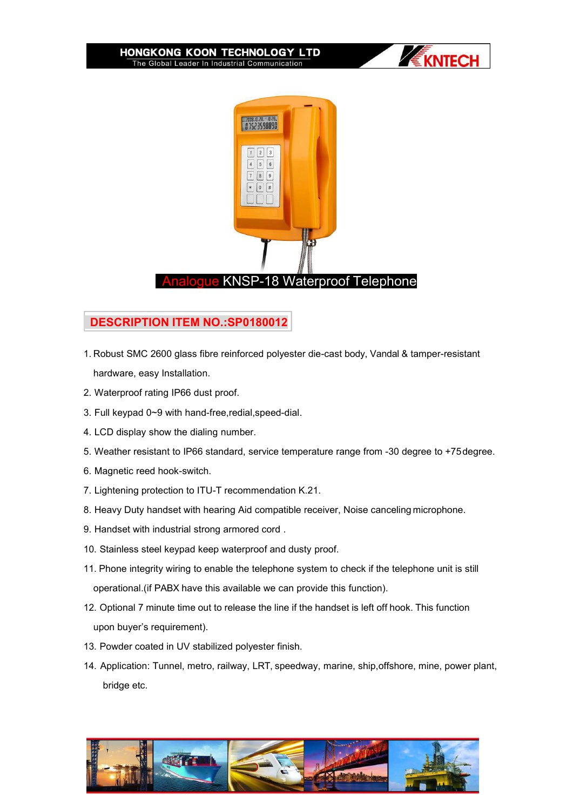



## **DESCRIPTION ITEM NO.:SP0180012**

- 1. Robust SMC 2600 glass fibre reinforced polyester die-cast body, Vandal & tamper-resistant hardware, easy Installation.
- 2. Waterproof rating IP66 dust proof.
- 3. Full keypad 0~9 with hand-free,redial,speed-dial.
- 4. LCD display show the dialing number.
- 5. Weather resistant to IP66 standard, service temperature range from -30 degree to +75degree.
- 6. Magnetic reed hook-switch.
- 7. Lightening protection to ITU-T recommendation K.21.
- 8. Heavy Duty handset with hearing Aid compatible receiver, Noise canceling microphone.
- 9. Handset with industrial strong armored cord .
- 10. Stainless steel keypad keep waterproof and dusty proof.
- 11. Phone integrity wiring to enable the telephone system to check if the telephone unit is still operational.(if PABX have this available we can provide this function).
- 12. Optional 7 minute time out to release the line if the handset is left off hook. This function upon buyer's requirement).
- 13. Powder coated in UV stabilized polyester finish.
- 14. Application: Tunnel, metro, railway, LRT, speedway, marine, ship,offshore, mine, power plant, bridge etc.

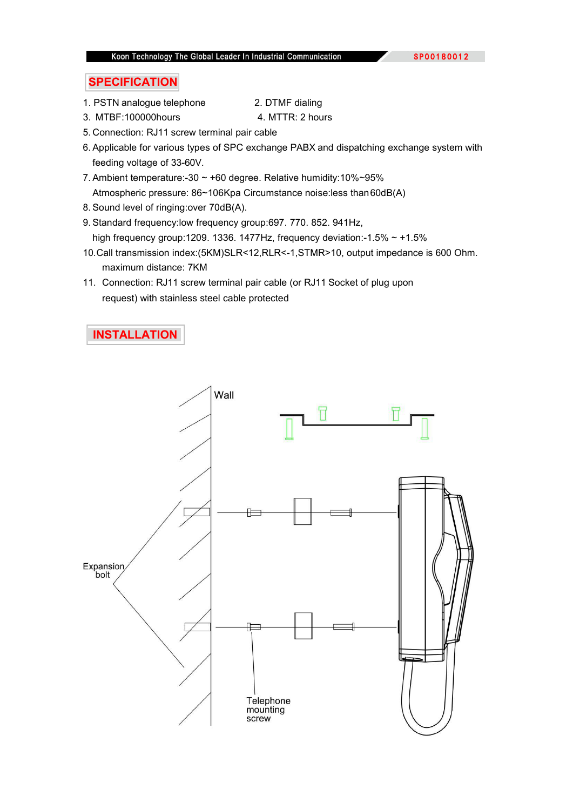## **SPECIFICATION**

1. PSTN analogue telephone 2. DTMF dialing

- 3. MTBF:100000hours 4. MTTR: 2 hours
- 5. Connection: RJ11 screw terminal pair cable
- 6. Applicable for various types of SPC exchange PABX and dispatching exchange system with feeding voltage of 33-60V.
- 7. Ambient temperature:-30 ~ +60 degree. Relative humidity:10%~95% Atmospheric pressure: 86~106Kpa Circumstance noise:less than60dB(A)
- 8. Sound level of ringing:over 70dB(A).
- 9. Standard frequency:low frequency group:697. 770. 852. 941Hz, high frequency group:1209. 1336. 1477Hz, frequency deviation:-1.5%  $\sim$  +1.5%
- 10.Call transmission index:(5KM)SLR<12,RLR<-1,STMR>10, output impedance is 600 Ohm. maximum distance: 7KM
- 11. Connection: RJ11 screw terminal pair cable (or RJ11 Socket of plug upon request) with stainless steel cable protected

## **INSTALLATION**

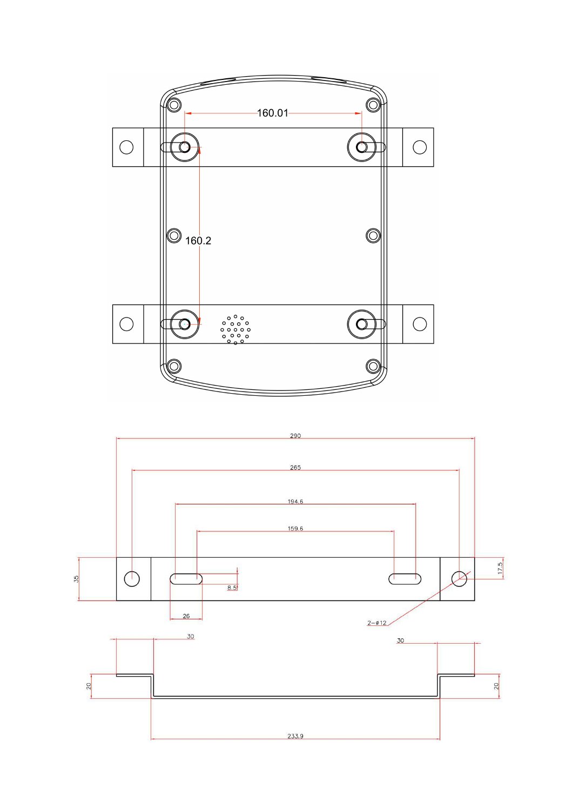